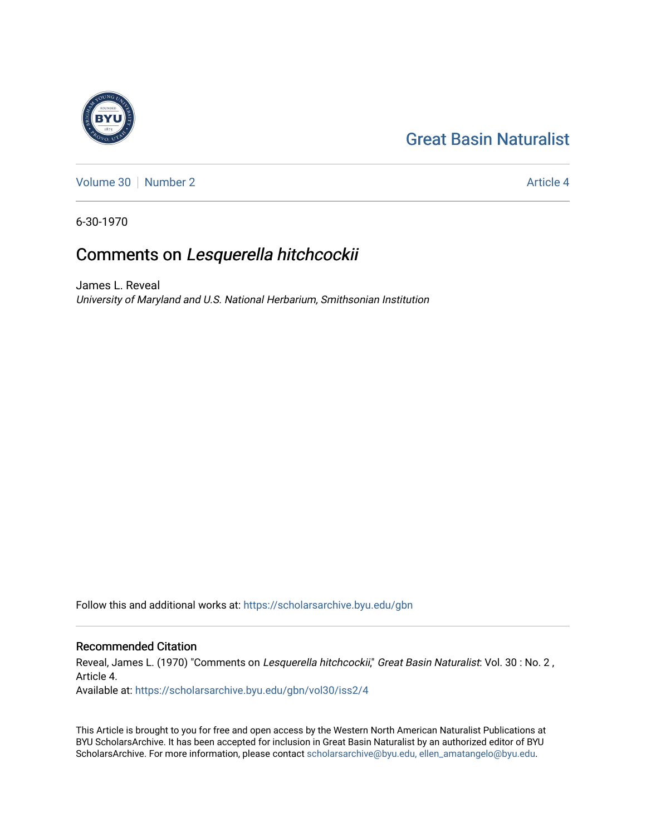# [Great Basin Naturalist](https://scholarsarchive.byu.edu/gbn)

[Volume 30](https://scholarsarchive.byu.edu/gbn/vol30) [Number 2](https://scholarsarchive.byu.edu/gbn/vol30/iss2) Article 4

6-30-1970

## Comments on Lesquerella hitchcockii

James L. Reveal University of Maryland and U.S. National Herbarium, Smithsonian Institution

Follow this and additional works at: [https://scholarsarchive.byu.edu/gbn](https://scholarsarchive.byu.edu/gbn?utm_source=scholarsarchive.byu.edu%2Fgbn%2Fvol30%2Fiss2%2F4&utm_medium=PDF&utm_campaign=PDFCoverPages) 

### Recommended Citation

Reveal, James L. (1970) "Comments on Lesquerella hitchcockii," Great Basin Naturalist: Vol. 30 : No. 2, Article 4. Available at: [https://scholarsarchive.byu.edu/gbn/vol30/iss2/4](https://scholarsarchive.byu.edu/gbn/vol30/iss2/4?utm_source=scholarsarchive.byu.edu%2Fgbn%2Fvol30%2Fiss2%2F4&utm_medium=PDF&utm_campaign=PDFCoverPages)

This Article is brought to you for free and open access by the Western North American Naturalist Publications at BYU ScholarsArchive. It has been accepted for inclusion in Great Basin Naturalist by an authorized editor of BYU

ScholarsArchive. For more information, please contact [scholarsarchive@byu.edu, ellen\\_amatangelo@byu.edu.](mailto:scholarsarchive@byu.edu,%20ellen_amatangelo@byu.edu)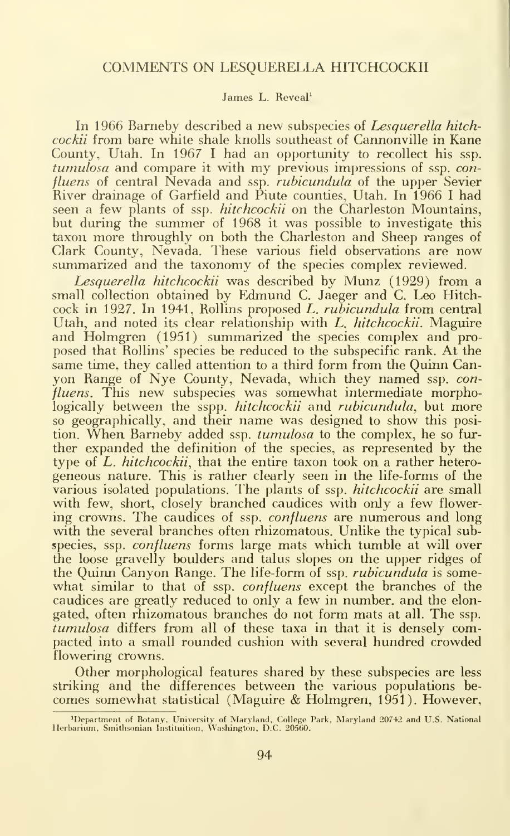### COMMENTS ON LESQUERELLA HITCHCOCKII

#### James L. Reveal'

In 1966 Barneby described a new subspecies of Lesquerella hitchcockii from bare white shale knolls southeast of Cannonville in Kane County, Utah. In 1967 <sup>I</sup> had an opportunity to recollect his ssp. tumulosa and compare it with my previous impressions of ssp. confluens of central Nevada and ssp. *rubicundula* of the upper Sevier River drainage of Garfield and Piute counties, Utah. In 1966 <sup>I</sup> had seen a few plants of ssp. *hitchcockii* on the Charleston Mountains, but during the summer of 1968 it was possible to investigate this taxon more throughly on both the Charleston and Sheep ranges of Clark County, Nevada. These various field observations are now summarized and the taxonomy of the species complex reviewed.

Lesquerella hitchcockii was described by Munz (1929) from <sup>a</sup> small collection obtained by Edmund C. Jaeger and C. Leo Hitchcock in 1927. In 1941, Rollins proposed L. rubicundula from central Utah, and noted its clear relationship with L. hitchcockii. Maguire and Holmgren (1951) summarized the species complex and proposed that Rollins' species be reduced to the subspecific rank. At the same time, they called attention to a third form from the Quinn Canyon Range of Nye County, Nevada, which they named ssp. confluens. This new subspecies was somewhat intermediate morphologically between the sspp. *hitchcockii* and *rubicundula*, but more so geographically, and their name was designed to show this position. When Barneby added ssp. tumulosa to the complex, he so further expanded the definition of the species, as represented by the type of  $L$ . *hitchcockii*, that the entire taxon took on a rather heterogeneous nature. This is rather clearly seen in the life-forms of the various isolated populations. The plants of ssp. *hitchcockii* are small with few, short, closely branched caudices with only a few flowering crowns. The caudices of ssp. *confluens* are numerous and long with the several branches often rhizomatous. Unlike the typical subspecies, ssp. *confluens* forms large mats which tumble at will over the loose gravelly boulders and talus slopes on the upper ridges of the Quinn Canyon Range. The life-form of ssp. rubicundula is some what similar to that of ssp. *confluens* except the branches of the caudices are greatly reduced to only a few in number, and the elon gated, often rhizomatous branches do not form mats at all. The ssp. tumulosa differs from all of these taxa in that it is densely compacted into a small rounded cushion with several hundred crowded flowering crowns.

Other morphological features shared by these subspecies are less striking and the differences between the various populations becomes somewhat statistical (Maguire & Holmgren, 1951). However,

<sup>&#</sup>x27;Departmont of Botany, University of Maryland, College Park, Maryland 20742 and U.S. National Herbarium, Smithsonian Instituition, Washington, D.C. 20560.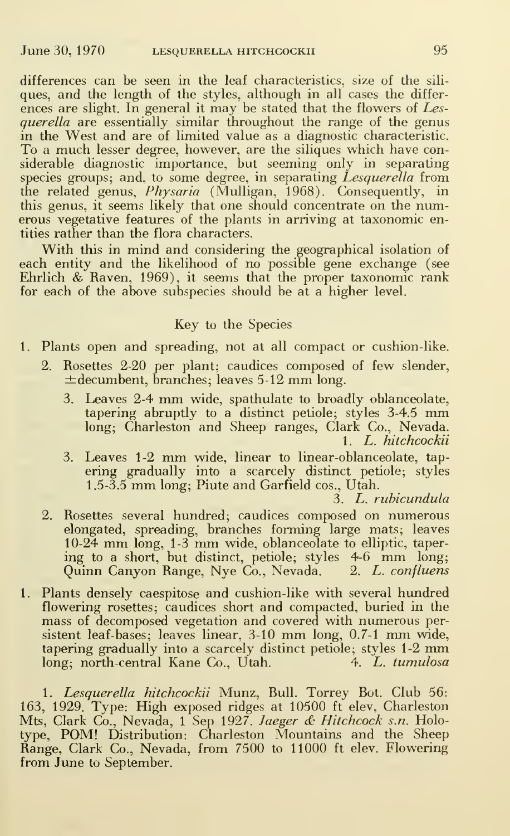differences can be seen in the leaf characteristics, size of the sili ques, and the length of the styles, although in all cases the differ ences are slight. In general it may be stated that the flowers of  $Les$ querella are essentially similar throughout the range of the genus in the West and are of limited value as a diagnostic characteristic. To <sup>a</sup> much lesser degree, however, are the siliques which have considerable diagnostic importance, but seeming only in separating species groups; and, to some degree, in separating *Lesquerella* from the related genus, *Physaria* (Mulligan, 1968). Consequently, in this genus, it seems likely that one should concentrate on the numerous vegetative features of the plants in arriving at taxonomic entities rather than the flora characters.

With this in mind and considering the geographical isolation of each entity and the likelihood of no possible gene exchange (see Ehrlich & Raven, 1969), it seems that the proper taxonomic rank for each of the above subspecies should be at a higher level.

#### Key to the Species

- 1. Plants open and spreading, not at all compact or cushion-like.
	- 2. Rosettes 2-20 per plant; caudices composed of few slender, ±decumbent, branches; leaves 5-12 mm long.
		- 3. Leaves 2-4 mm wide, spathulate to broadly oblanceolate, tapering abruptly to <sup>a</sup> distinct petiole; styles 3-4.5 mm long; Charleston and Sheep ranges, Clark Co., Nevada. 1. L. hitchcockii
		- 3. Leaves 1-2 mm wide, linear to linear-oblanceolate, tapering gradually into a scarcely distinct petiole; styles 1.5-3.5 mm long; Piute and Garfield cos., Utah.

3. L. rubicundula

- 2. Rosettes several hundred; caudices composed on numerous elongated, spreading, branches forming large mats; leaves 10-24 mm long, 1-3 mm wide, oblanceolate to elhptic, tapering to a short, but distinct, petiole; styles 4-6 mm long; Quinn Canyon Range, Nye Co., Nevada. 2. L. confluens
- 1. Plants densely caespitose and cushion-like with several hundred flowering rosettes; caudices short and compacted, buried in the mass of decomposed vegetation and covered with numerous persistent leaf-bases; leaves linear, 3-10 mm long, 0.7-1 mm wide, tapering gradually into a scarcely distinct petiole; styles 1-2 mm<br>long: north-central Kane Co., Utah. 4. L. tumulosa long; north-central Kane Co., Utah.

1. Lesquerella hitchcockii Munz, Bull. Torrey Bot. Club 56: 163, 1929. Type: High exposed ridges at 10500 ft elev, Charleston Mts, Clark Co., Nevada, 1 Sep 1927. Jaeger & Hitchcock s.n. Holotype, POM! Distribution: Charleston Mountains and the Sheep Range, Clark Co., Nevada, from 7500 to 11000 ft elev. Flowering from June to September.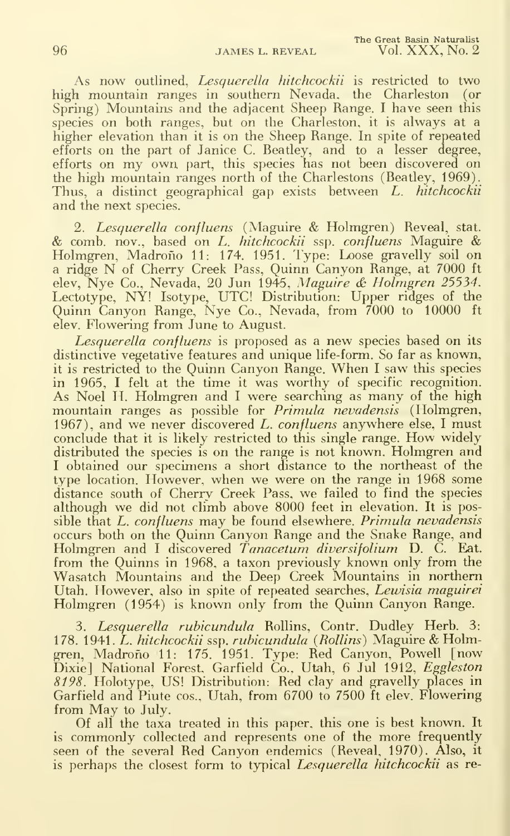As now outlined, *Lesquerella hitchcockii* is restricted to two high mountain ranges in southern Nevada, the Charleston (or Spring) Mountains and the adjacent Sheep Range. <sup>I</sup> have seen this species on both ranges, but on the Charleston, it is always at a higher elevation than it is on the Sheep Range. In spite of repeated efforts on the part of Janice C. Beatley, and to a lesser degree, efforts on my own part, this species has not been discovered on the high mountain ranges north of the Charlestons (Beatley, 1969). Thus, a distinct geographical gap exists between L. hitchcockii and the next species.

2. Lesquerella confluens (Maguire & Holmgren) Reveal, stat. & comb. nov., based on L. hitchcockii ssp. confluens Maguire & Holmgren, Madroño 11: 174. 1951. Type: Loose gravelly soil on <sup>a</sup> ridge N of Cherry Creek Pass, Quinn Canyon Range, at <sup>7000</sup> ft elev, Nye Co., Nevada, 20 Jun 1945, Maguire & Holmgren 25534. Lectotype, NY! Isotype, UTC! Distribution: Upper ridges of the Quinn Canyon Range, Nye Co., Nevada, from 7000 to 10000 ft elev. Flowering from June to August.

Lesquerella confluens is proposed as a new species based on its distinctive vegetative features and unique life-form. So far as known, it is restricted to the Quinn Canyon Range. When I saw this species in 1965, <sup>I</sup> felt at the time it was worthy of specific recognition. As Noel H. Holmgren and I were searching as many of the high mountain ranges as possible for *Primula nevadensis* (Holmgren, 1967), and we never discovered *L. confluens* anywhere else, I must conclude that it is likely restricted to this single range. How widely distributed the species is on the range is not known. Holmgren and I obtained our specimens a short distance to the northeast of the type location. However, when we were on the range in 1968 some distance south of Cherry Creek Pass, we failed to find the species although we did not climb above 8000 feet in elevation. It is possible that L. confluens may be found elsewhere. Primula nevadensis occurs both on the Quinn Canyon Range and the Snake Range, and Holmgren and I discovered  $\tilde{T}$ anacetum diversifolium D. C. Eat. from the Quinns in 1968, a taxon previously known only from the Wasatch Mountains and the Deep Creek Mountains in northern Utah. However, also in spite of repeated searches, Lewisia maguirei Holmgren (1954) is known only from the Quinn Canyon Range.

3. Lesquerella rubicundula Rollins, Contr. Dudley Herb. 3: 178. 1941. L. hitchcockii ssp. rubicundula (Rollins) Maguire & Holmgren, Madrono 11: 175. 1951. Type: Red Canyon, Powell [now Dixie] National Forest, Garfield Co., Utah, 6 Jul 1912, Eggleston 8198. Holotype, US! Distribution: Red clay and gravelly places in Garfield and Piute cos., Utah, from 6700 to 7500 ft elev. Flowering from May to July.

Of all the taxa treated in this paper, this one is best known. It is commonly collected and represents one of the more frequently seen of the several Red Canyon endemics (Reveal, 1970). Also, it is perhaps the closest form to typical Lesquerella hitchcockii as re-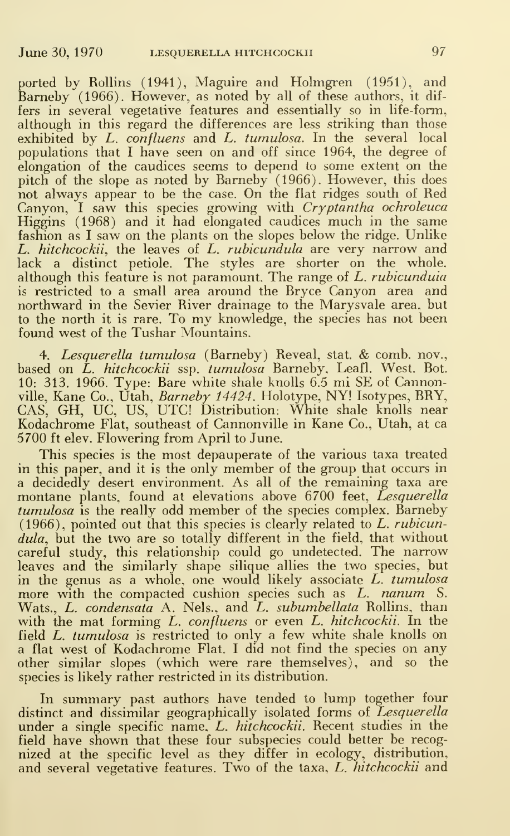ported by Rollins (1941), Maguire and Holmgren (1951), and Bameby (1966). However, as noted by all of these authors, it dif fers in several vegetative features and essentially so in life-form, although in this regard the differences are less striking than those exhibited by *L. confluens* and *L. tumulosa.* In the several local populations that <sup>I</sup> have seen on and off since 1964, the degree of elongation of the caudices seems to depend to some extent on the pitch of the slope as noted by Bameby (1966). However, this does not always appear to be the case. On the flat ridges south of Red Canyon, <sup>I</sup> saw this species growing with Cryptantha ochroleuca Higgins (1968) and it had elongated caudices much in the same fashion as I saw on the plants on the slopes below the ridge. Unlike L. *hitchcockii*, the leaves of *L. rubicundula* are very narrow and lack a distinct petiole. The styles are shorter on the whole, although this feature is not paramount. The range of L. *rubicunduia* is restricted to a small area around the Bryce Canyon area and northward in the Sevier River drainage to the Marysvale area, but to the north it is rare. To my knowledge, the species has not been found west of the Tushar Mountains.

4. Lesquerella tumulosa (Bameby) Reveal, stat. & comb, nov., based on *L. hitchcockii* ssp. *tumulosa* Barneby, Leafl. West. Bot.  $\qquad$ 10: 313. 1966. Type: Bare white shale knolls 6.5 mi SE of Cannonville, Kane Co., Utah, *Barneby 14424*. Holotype, NY! Isotypes, BRY, The Sa CAS, GH, UC, US, UTC! Distribution: White shale knolls near Kodachrome Flat, southeast of Cannonville in Kane Co., Utah, at ca 5700 ft elev. Flowering from April to June.

This species is the most depauperate of the various taxa treated in this paper, and it is the only member of the group that occurs in a decidedly desert environment. As all of the remaining taxa are montane plants, found at elevations above 6700 feet, Lesquerella tumulosa is the really odd member of the species complex. Barneby (1966), pointed out that this species is clearly related to  $L$ . *rubicun*dula, but the two are so totally different in the field, that without careful study, this relationship could go undetected. The narrow leaves and the similarly shape silique allies the two species, but in the genus as a whole, one would likely associate  $L$  tumulosa more with the compacted cushion species such as L. nanum S. Wats., L. condensata A. Nels., and L. subumbellata Rollins, than with the mat forming L. confluens or even L. hitchcockii. In the field  $L$ . tumulosa is restricted to only a few white shale knolls on a flat west of Kodachrome Flat. <sup>I</sup> did not find the species on any other similar slopes (which were rare themselves), and so the species is likely rather restricted in its distribution.

In summary past authors have tended to lump together four distinct and dissimilar geographically isolated forms of Lesquerella under a single specific name, L. hitchcockii. Recent studies in the field have shown that these four subspecies could better be recog nized at the specific level as they differ in ecology, distribution,<br>and several vegetative features. Two of the taxa, *L. hitchcockii* and